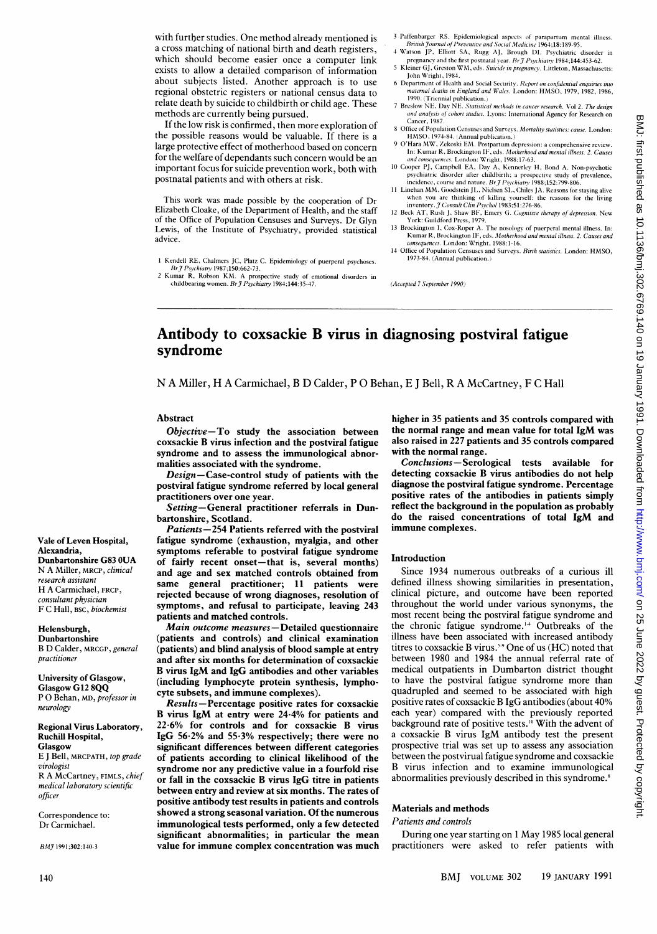with further studies. One method already mentioned is a cross matching of national birth and death registers, which should become easier once <sup>a</sup> computer link exists to allow a detailed comparison of information about subjects listed. Another approach is to use regional obstetric registers or national census data to relate death by suicide to childbirth or child age. These methods are currently being pursued.

If the low risk is confirmed, then more exploration of the possible reasons would be valuable. If there is a large protective effect of motherhood based on concern for the welfare of dependants such concern would be an important focus for suicide prevention work, both with postnatal patients and with others at risk.

This work was made possible by the cooperation of Dr Elizabeth Cloake, of the Department of Health, and the staff of the Office of Population Censuses and Surveys. Dr Glyn Lewis, of the Institute of Psychiatry, provided statistical advice.

1 Kendell RE, Chalmers JC, Platz C. Epidemiology of puerperal psychoses.<br>Br J Psychiatry 1987;150:662-73.

- 3 Paffenbarger RS. Epidemiological aspects of parapartum mental illness. BFritish\_Journal ofPreventive and Social .Medicitne 1964;18:189-95. 4 Watson JP, Elliott SA, Rugg AJ, Brough DI. Psychiatric disorder in
- pregnancy and the first postnatal year. Br  $\tilde{\tau}$  Psychiatry 1984:144:453-62. <sup>5</sup> Kleiner GJ, Greston WM, eds. Suicide in pregnancy. Littleton, Massachusetts:
- John Wright, 1984.
- 6 Department of Health atid Social Sectrity. Report on confidential enquiries into maternal deaths in England and Wales. London: HMSO, 1979, 1982, 1986, 1990. (Triennial publication.) 7 Breslow NE, Day NE. Statistical methods in cancer research. Vol 2. The design
- and analysis of cohort studies. Lyons: International Agency for Research on Cancer, 1987. 8 Office of Population Censuses and Surveys. Mortality statistics: cause. London:
- HMNSO, 1974-84. (Annual publication.) 9 O'Hara MW1, Zekoski EM. Postparttum depression: <sup>a</sup> comprehensive review.
- In: Kumar R, Brockington IF, eds. *Motherhood and mental illness. 2. Causes*<br>*and consequences. L*ondon: Wright, 1988:17-63.
- 10 Cooper PJ, Campbell EA, Day A, Kennerley H, Bond A. Non-psychotic psychiatric disorder after childbirth; a prospective study of prevalence,
- incidence, course and nature. *Br J Psychiatry* 1988;152:799-806.<br>11 Linehan MM, Goodstein JL, Nielsen SL, Chiles JA. Reasons for staying alive when you are thinking of killing yourself: the reasons for the living<br>inventory. J Consult Clin Psychol 1983;51:276-86.<br>12 Beck AT, Rush J, Shaw BF, Emery G. Cognitive therapy of depression. New
- York: Guildford Press, 1979.<br>13 Brockington I, Cox-Roper A. The nosology of puerperal mental illness. In:<br>Kumar R, Brockington IF, eds. Motherhood and mental illness. 2. Causes and
- consequences. London: Wright, 1988:1-16.
- <sup>14</sup> Office of Population Censuses and Surveys. Birth statistics. London: HMSO, 1973-84. (Annual publication.)

(Accepted 7 September 1990)

# Antibody to coxsackie B virus in diagnosing postviral fatigue syndrome

N A Miller, H A Carmichael, B D Calder, P 0 Behan, E <sup>J</sup> Bell, R A McCartney, F C Hall

## Abstract

Objective-To study the association between coxsackie B virus infection and the postviral fatigue syndrome and to assess the immunological abnormalities associated with the syndrome.

Design-Case-control study of patients with the postviral fatigue syndrome referred by local general practitioners over one year.

Setting-General practitioner referrals in Dunbartonshire, Scotland.

Patients-254 Patients referred with the postviral fatigue syndrome (exhaustion, myalgia, and other symptoms referable to postviral fatigue syndrome of fairly recent onset-that is, several months) and age and sex matched controls obtained from same general practitioner; 11 patients were rejected because of wrong diagnoses, resolution of symptoms, and refusal to participate, leaving 243 patients and matched controls.

Main outcome measures-Detailed questionnaire (patients and controls) and clinical examination (patients) and blind analysis of blood sample at entry and after six months for determination of coxsackie B virus IgM and IgG antibodies and other variables (including lymphocyte protein synthesis, lymphocyte subsets, and immune complexes).

Results-Percentage positive rates for coxsackie B virus IgM at entry were 24-4% for patients and 22-6% for controls and for coxsackie B virus IgG 56\*2% and 55-3% respectively; there were no significant differences between different categories of patients according to clinical likelihood of the syndrome nor any predictive value in a fourfold rise or fall in the coxsackie B virus IgG titre in patients between entry and review at six months. The rates of positive antibody test results in patients and controls showed a strong seasonal variation. Of the numerous immunological tests performed, only a few detected significant abnormalities; in particular the mean value for immune complex concentration was much higher in 35 patients and 35 controls compared with the normal range and mean value for total IgM was also raised in 227 patients and 35 controls compared with the normal range.

Conclusions-Serological tests available for detecting coxsackie B virus antibodies do not help diagnose the postviral fatigue syndrome. Percentage positive rates of the antibodies in patients simply reflect the background in the population as probably do the raised concentrations of total IgM and immune complexes.

### Introduction

Since 1934 numerous outbreaks of a curious ill defined illness showing similarities in presentation, clinical picture, and outcome have been reported throughout the world under various synonyms, the most recent being the postviral fatigue syndrome and the chronic fatigue syndrome.'4 Outbreaks of the illness have been associated with increased antibody titres to coxsackie B virus.<sup>59</sup> One of us (HC) noted that between 1980 and 1984 the annual referral rate of medical outpatients in Dumbarton district thought to have the postviral fatigue syndrome more than quadrupled and seemed to be associated with high positive rates of coxsackie B IgG antibodies (about 40% each year) compared with the previously reported background rate of positive tests.<sup>10</sup> With the advent of <sup>a</sup> coxsackie B virus IgM antibody test the present prospective trial was set up to assess any association between the postvirual fatigue syndrome and coxsackie B virus infection and to examine immunological abnormalities previously described in this syndrome.<sup>8</sup>

# Materials and methods

### Patients and controls

During one year starting on <sup>1</sup> May 1985 local general practitioners were asked to refer patients with

## Vale of Leven Hospital, Alexandria, Dunbartonshire G83 OUA N A Miller, MRCP, clinical research assistant H A Carmichael, FRCP, consultant physician F C Hall, BSC, biochemist

#### Helensburgh,

Dunbartonshire B D Calder, MRCGP, general practitioner

## University of Glasgow, Glasgow G12 8QQ

P 0 Behan, MD, professor in neurology

### Regional Virus Laboratory, Ruchili Hospital, Glasgow

E <sup>J</sup> Bell, MRCPATH, top grade virologist R A McCartney, FIMLS, chief medical laboratory scientific officer

Correspondence to: Dr Carmichael.

BMJ 1991;302:140-3

<sup>2</sup> Kumar R, Robson KM. A prospective study of emotional disorders in childbearing women.  $Br\mathcal{J}$  Psychiatry 1984;144:35-47.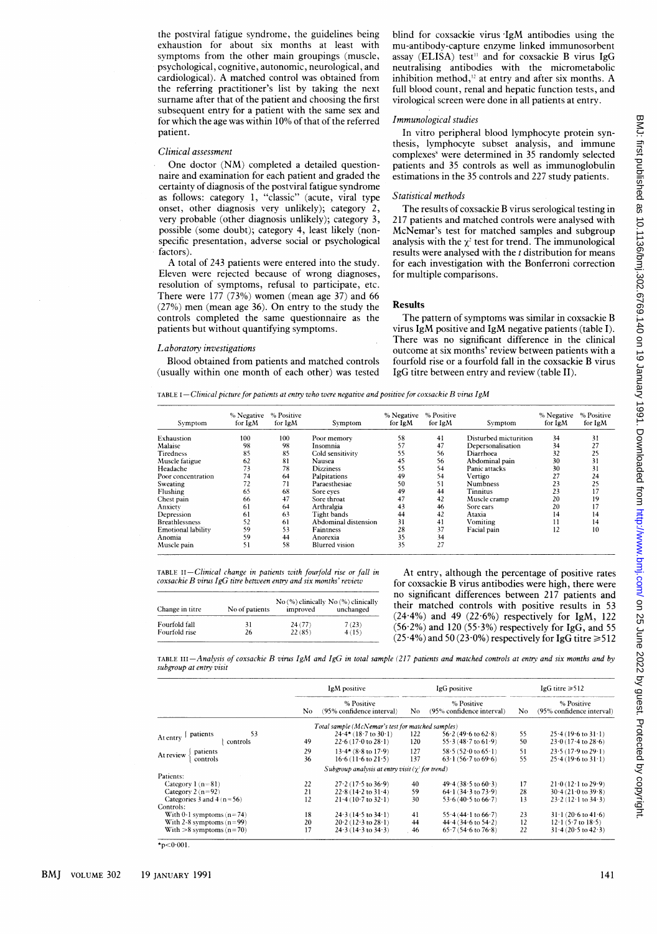the postviral fatigue syndrome, the guidelines being exhaustion for about six months at least with symptoms from the other main groupings (muscle, psychological, cognitive, autonomic, neurological, and cardiological). A matched control was obtained from the referring practitioner's list by taking the next surname after that of the patient and choosing the first subsequent entry for a patient with the same sex and for which the age was within 10% of that of the referred patient.

#### Clinical assessment

One doctor (NM) completed <sup>a</sup> detailed questionnaire and examination for each patient and graded the certainty of diagnosis of the postviral fatigue syndrome as follows: category 1, "classic" (acute, viral type onset, other diagnosis very unlikely); category 2, very probable (other diagnosis unlikely); category 3, possible (some doubt); category 4, least likely (nonspecific presentation, adverse social or psychological factors).

A total of 243 patients were entered into the study. Eleven were rejected because of wrong diagnoses, resolution of symptoms, refusal to participate, etc. There were 177 (73%) women (mean age 37) and 66 (27%) men (mean age 36). On entry to the study the controls completed the same questionnaire as the patients but without quantifying symptoms.

## Laboratory investigations

Blood obtained from patients and matched controls (usually within one month of each other) was tested blind for coxsackie virus IgM antibodies using the mu-antibody-capture enzyme linked immunosorbent assay (ELISA) test<sup>11</sup> and for coxsackie B virus IgG neutralising antibodies with the micrometabolic inhibition method, $^{12}$  at entry and after six months. A full blood count, renal and hepatic function tests, and virological screen were done in all patients at entry.

## Immunological studies

In vitro peripheral blood lymphocyte protein synthesis, lymphocyte subset analysis, and immune complexes' were determined in 35 randomly selected patients and 35 controls as well as immunoglobulin estimations in the 35 controls and 227 study patients.

#### Statistical methods

The results of coxsackie B virus serological testing in 217 patients and matched controls were analysed with McNemar's test for matched samples and subgroup analysis with the  $\chi^2$  test for trend. The immunological results were analysed with the  $t$  distribution for means for each investigation with the Bonferroni correction for multiple comparisons.

# Results

The pattern of symptoms was similar in coxsackie B virus IgM positive and IgM negative patients (table I). There was no significant difference in the clinical outcome at six months' review between patients with a fourfold rise or <sup>a</sup> fourfold fall in the coxsackie B virus IgG titre between entry and review (table II).

TABLE I-Clinical picture for patients at entry who were negative and positive for coxsackie B virus IgM

| Symptom                   | % Negative<br>for IgM | % Positive<br>for IgM | Symptom               | % Negative<br>for $IgM$ | % Positive<br>for IgM | Symptom               | % Negative<br>for IgM | % Positive<br>for IgM |
|---------------------------|-----------------------|-----------------------|-----------------------|-------------------------|-----------------------|-----------------------|-----------------------|-----------------------|
| Exhaustion                | 100                   | 100                   | Poor memory           | 58                      | 41                    | Disturbed micturition | 34                    | 31                    |
| Malaise                   | 98                    | 98                    | Insomnia              | 57                      | 47                    | Depersonalisation     | 34                    | 27                    |
| <b>Tiredness</b>          | 85                    | 85                    | Cold sensitivity      | 55                      | 56                    | Diarrhoea             | 32                    | 25                    |
| Muscle fatigue            | 62                    | 81                    | <b>Nausea</b>         | 45                      | 56                    | Abdominal pain        | 30                    | 31                    |
| Headache                  | 73                    | 78                    | <b>Dizziness</b>      | 55                      | 54                    | Panic attacks         | 30                    | 31                    |
| Poor concentration        | 74                    | 64                    | Palpitations          | 49                      | 54                    | Vertigo               | 27                    | 24                    |
| Sweating                  | 72                    | 71                    | Paraesthesiae         | 50                      | 51                    | Numbness              | 23                    | 25                    |
| Flushing                  | 65                    | 68                    | Sore eves             | 49                      | 44                    | Tinnitus              | 23                    | 17                    |
| Chest pain                | 66                    | 47                    | Sore throat           | 47                      | 42                    | Muscle cramp          | 20                    | 19                    |
| Anxiety                   | 61                    | 64                    | Arthralgia            | 43                      | 46                    | Sore ears             | 20                    | 17                    |
| Depression                | 61                    | 63                    | Tight bands           | 44                      | 42                    | Ataxia                | 14                    | 14                    |
| <b>Breathlessness</b>     | 52                    | 61                    | Abdominal distension  | 31                      | 41                    | Vomiting              | 11                    | 14                    |
| <b>Emotional lability</b> | 59                    | 53                    | <b>Faintness</b>      | 28                      | 37                    | Facial pain           | 12                    | 10                    |
| Anomia                    | 59                    | 44                    | Anorexia              | 35                      | 34                    |                       |                       |                       |
| Muscle pain               | 51                    | 58                    | <b>Blurred</b> vision | 35                      | 27                    |                       |                       |                       |

TABLE II-Clinical change in patients with fourfold rise or fall in coxsackie B virus IgG titre between entry and six months' review

| Change in titre | No of patients | improved | $No$ (%) clinically $No$ (%) clinically<br>unchanged |
|-----------------|----------------|----------|------------------------------------------------------|
| Fourfold fall   | 31             | 24(77)   | 7(23)                                                |
| Fourfold rise   | 26             | 22(85)   | 4(15)                                                |

At entry, although the percentage of positive rates for coxsackie B virus antibodies were high, there were no significant differences between 217 patients and their matched controls with positive results in 53  $(24.4\%)$  and 49  $(22.6\%)$  respectively for IgM, 122  $(56.2\%)$  and 120 (55.3%) respectively for IgG, and 55  $(25.4\%)$  and 50 (23.0%) respectively for IgG titre  $\geq 512$ 

TABLE  $III-Analysis$  of coxsackie B virus IgM and IgG in total sample (217 patients and matched controls at entry and six months and by subgroup at entry visit

|                                 | IgM positive |                                                          | IgG positive |                                         | IgG titre $\geq 512$ |                                                 |
|---------------------------------|--------------|----------------------------------------------------------|--------------|-----------------------------------------|----------------------|-------------------------------------------------|
|                                 | No           | % Positive<br>(95% confidence interval)                  | No.          | % Positive<br>(95% confidence interval) | No.                  | % Positive<br>(95% confidence interval)         |
|                                 |              | Total sample (McNemar's test for matched samples)        |              |                                         |                      |                                                 |
| 53<br>patients                  |              | $24.4* (18.7 \text{ to } 30.1)$                          | 122          | $56.2(49.6 \text{ to } 62.8)$           | 55                   | $25.4(19.6 \text{ to } 31.1)$                   |
| At entry<br>controls            | 49           | $22.6(17.0 \text{ to } 28.1)$                            | 120          | 55.3 (48.7 to 61.9)                     | 50                   | $23.0(17.4 \text{ to } 28.6)$                   |
| patients                        | 29           | $13.4* (8.8 \text{ to } 17.9)$                           | 127          | 58.5 (52.0 to $65.1$ )                  | 51                   | $23.5(17.9 \text{ to } 29.1)$                   |
| At review<br>controls           | 36           | $16.6(11.6 \text{ to } 21.5)$                            | 137          | $63.1(56.7 \text{ to } 69.6)$           | 55                   | $25.4(19.6 \text{ to } 31.1)$                   |
|                                 |              | Subgroup analysis at entry visit $(\gamma^2)$ for trend) |              |                                         |                      |                                                 |
| Patients:                       |              |                                                          |              |                                         |                      |                                                 |
| Category $1(n=81)$              | 22           | $27.2(17.5 \text{ to } 36.9)$                            | 40           | $49.4(38.5 \text{ to } 60.3)$           | 17                   | $21.0(12.1$ to $29.9$ )                         |
| Category $2(n=92)$              | 21           | $22.8(14.2 \text{ to } 31.4)$                            | 59           | $64.1(34.3 \text{ to } 73.9)$           | 28                   | $30.4(21.0 \text{ to } 39.8)$                   |
| Categories 3 and 4 ( $n = 56$ ) | 12           | $21.4(10.7 \text{ to } 32.1)$                            | 30           | 53.6 (40.5 to 66.7)                     | 13                   | $23.2(12.1 \text{ to } 34.3)$                   |
| Controls:                       |              |                                                          |              |                                         |                      |                                                 |
| With 0-1 symptoms $(n=74)$      | 18           | $24.3(14.5 \text{ to } 34.1)$                            | 41           | $55.4(44.1 \text{ to } 66.7)$           | 23                   | $31 \cdot 1 (20.6 \text{ to } 41.6)$            |
| With 2-8 symptoms $(n=99)$      | 20           | $20.2(12.3 \text{ to } 28.1)$                            | 44           | $44.4(34.6 \text{ to } 54.2)$           | 12                   | $12 \cdot 1 (5 \cdot 7 \text{ to } 18 \cdot 5)$ |
| With $>8$ symptoms (n=70)       | 17           | $24.3(14.3 \text{ to } 34.3)$                            | -46          | $65.7(54.6 \text{ to } 76.8)$           | 22                   | $31.4(20.5 \text{ to } 42.3)$                   |
| * $n < 0.001$ .                 |              |                                                          |              |                                         |                      |                                                 |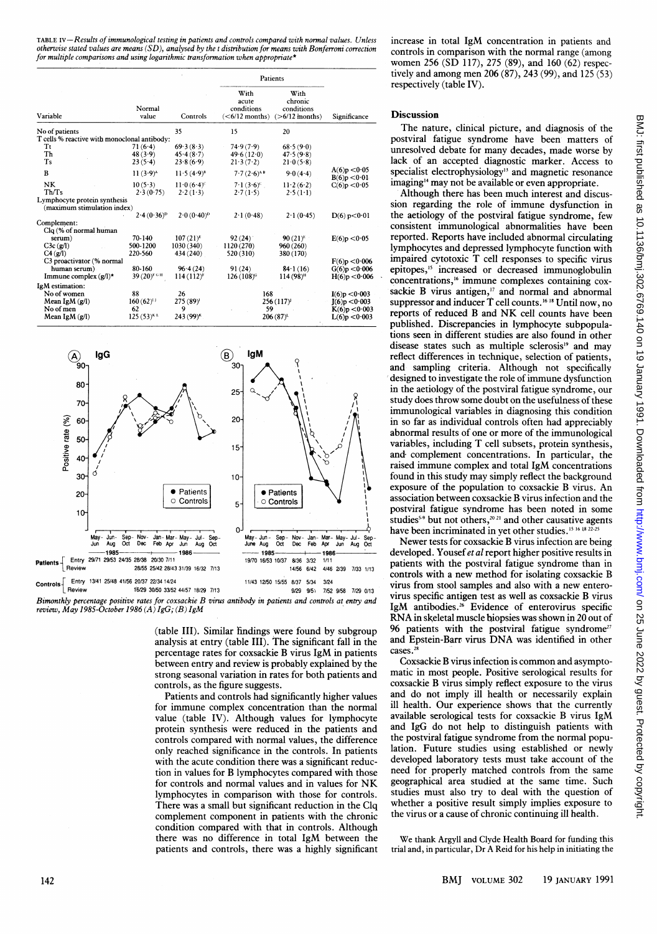TABLE IV-Results of immunological testing in patients and controls compared with normal values. Unless otherwise stated values are means  $(SD)$ , analysed by the t distribution for means with Bonferroni correction for multiple comparisons and using logarithmic transformation when appropriate<sup>\*</sup>

|                                              |                        |                        | Patients                                        |                                                    |                              |  |
|----------------------------------------------|------------------------|------------------------|-------------------------------------------------|----------------------------------------------------|------------------------------|--|
| Variable                                     | Normal<br>value        | Controls               | With<br>acute<br>conditions<br>$(<6/12$ months) | With<br>chronic<br>conditions<br>$($ >6/12 months) | Significance                 |  |
| No of patients                               |                        | 35                     | 15                                              | 20                                                 |                              |  |
| T cells % reactive with monoclonal antibody: |                        |                        |                                                 |                                                    |                              |  |
| Τt                                           | 71(6.4)                | 69.3(8.3)              | 74.9(7.9)                                       | 68.5(9.0)                                          |                              |  |
| Th                                           | 48(3.9)                | 45.4(8.7)              | 49.6(12.0)                                      | 47.5(9.8)                                          |                              |  |
| Ts                                           | 23(5.4)                | 23.8(6.9)              | 21.3(7.2)                                       | 21.0(5.8)                                          |                              |  |
| B                                            | $11(3.9)^{A}$          | $11.5(4.9)^8$          | $7.7(2.6)^{AB}$                                 | 9.0(4.4)                                           | A(6)p < 0.05<br>B(6)p < 0.01 |  |
| NΚ                                           | $10(5-3)$              | $11.0(6.4)^c$          | $7.1(3.6)^c$ .                                  | 11.2(6.2)                                          | C(6)p < 0.05                 |  |
| Th/Ts                                        | 2.3(0.75)              | 2.2(1.3)               | 2.7(1.5)                                        | $2.5(1-1)$                                         |                              |  |
| Lymphocyte protein synthesis                 |                        |                        |                                                 |                                                    |                              |  |
| (maximum stimulation index)                  |                        |                        |                                                 |                                                    |                              |  |
|                                              | $2.4(0.36)^{p}$        | $2.0(0.40)^{p}$        | 2.1(0.48)                                       | 2.1(0.45)                                          | D(6) p < 0.01                |  |
| Complement:                                  |                        |                        |                                                 |                                                    |                              |  |
| Clq (% of normal human                       |                        |                        |                                                 |                                                    |                              |  |
| serum)                                       | 70-140                 | $107(21)^{E}$          | 92(24)                                          | $90(21)^{E}$                                       | E(6)p < 0.05                 |  |
| C3c(g/l)                                     | 500-1200               | 1030 (340)             | 1120 (270)                                      | 960(260)                                           |                              |  |
| C4(g/l)                                      | 220-560                | 434 (240)              | 520 (310)                                       | 380 (170)                                          |                              |  |
| C3 proactivator (% normal                    |                        |                        |                                                 |                                                    | F(6)p < 0.006                |  |
| human serum)                                 | 80-160                 | 96.4(24)               | 91(24)                                          | $84 \cdot 1(16)$                                   | G(6)p < 0.006                |  |
| Immune complex $(g/l)^*$                     | 39 (20) <sup>FGH</sup> | $114(112)^{F}$         | 126 (108) <sup>c</sup>                          | $114(98)$ <sup>H</sup>                             | H(6)p < 0.006                |  |
| IgM estimation:                              |                        |                        |                                                 |                                                    |                              |  |
| No of women                                  | 88                     | 26                     | 168                                             |                                                    | I(6)p < 0.003                |  |
| Mean IgM $(g/l)$                             | $160(62)^{11}$         | $275(89)$ <sup>1</sup> | 256 (117)                                       |                                                    | [(6)p < 0.003]               |  |
| No of men                                    | 62                     | 9                      | 59                                              |                                                    | K(6)p < 0.003                |  |
| Mean IgM $(g/l)$                             | $125(53)^{KL}$         | 243 (99) <sup>k</sup>  | $206(87)^{L}$                                   |                                                    | L(6)p < 0.003                |  |



Bimonthly percentage positive rates for coxsackie B virus antibody in patients and controls at entry and review, May 1985-October 1986 (A) IgG; (B) IgM

(table III). Similar findings were found by subgroup analysis at entry (table III). The significant fall in the percentage rates for coxsackie B virus IgM in patients between entry and review is probably explained by the strong seasonal variation in rates for both patients and controls, as the figure suggests.

Patients and controls had significantly higher values for immune complex concentration than the normal value (table IV). Although values for lymphocyte protein synthesis were reduced in the patients and controls compared with normal values, the difference only reached significance in the controls. In patients with the acute condition there was a significant reduction in values for B lymphocytes compared with those for controls and normal values and in values for NK lymphocytes in comparison with those for controls. There was a small but significant reduction in the Clq complement component in patients with the chronic condition compared with that in controls. Although there was no difference in total IgM between the patients and controls, there was a highly significant increase in total IgM concentration in patients and controls in comparison with the normal range (among women 256 (SD 117), 275 (89), and 160 (62) respectively and among men 206 (87), 243 (99), and 125 (53) respectively (table IV).

# Discussion

The nature, clinical picture, and diagnosis of the postviral fatigue syndrome have been matters of unresolved debate for many decades, made worse by lack of an accepted diagnostic marker. Access to specialist electrophysiology<sup>13</sup> and magnetic resonance imaging'4 may not be available or even appropriate.

Although there has been much interest and discussion regarding the role of immune dysfunction in the aetiology of the postviral fatigue syndrome, few consistent immunological abnormalities have been reported. Reports have included abnormal circulating lymphocytes and depressed lymphocyte function with impaired cytotoxic T cell responses to specific virus epitopes,'5 increased or decreased immunoglobulin concentrations,'6 immune complexes containing coxsackie B virus antigen,<sup>17</sup> and normal and abnormal suppressor and inducer T cell counts.<sup>16 18</sup> Until now, no reports of reduced B and NK cell counts have been published. Discrepancies in lymphocyte subpopulations seen in different studies are also found in other disease states such as multiple sclerosis<sup>19</sup> and may reflect differences in technique, selection of patients, and sampling criteria. Although not specifically designed to investigate the role of immune dysfunction in the aetiology of the postviral fatigue syndrome, our study does throw some doubt on the usefulness of these immunological variables in diagnosing this condition in so far as individual controls often had appreciably abnormal results of one or more of the immunological variables, including T cell subsets, protein synthesis, and complement concentrations. In particular, the raised immune complex and total IgM concentrations found in this study may simply reflect the background exposure of the population to coxsackie B virus. An association between coxsackie B virus infection and the postviral fatigue syndrome has been noted in some studies<sup>5.9</sup> but not others,<sup>20.21</sup> and other causative agents have been incriminated in yet other studies.<sup>15 16</sup> 18 22-25

Newer tests for coxsackie B virus infection are being developed. Yousef et al report higher positive results in patients with the postviral fatigue syndrome than in controls with a new method for isolating coxsackie B virus from stool samples and also with a new enterovirus specific antigen test as well as coxsackie B virus IgM antibodies.<sup>26</sup> Evidence of enterovirus specific RNA in skeletal muscle biopsies was shown in <sup>20</sup> out of 96 patients with the postviral fatigue syndrome<sup>27</sup> and Epstein-Barr virus DNA was identified in other cases.<sup>28</sup>

Coxsackie B virus infection is common and asymptomatic in most people. Positive serological results for coxsackie B virus simply reflect exposure to the virus and do not imply ill health or necessarily explain ill health. Our experience shows that the currently available serological tests for coxsackie B virus IgM and IgG do not help to distinguish patients with the postviral fatigue syndrome from the normal population. Future studies using established or newly developed laboratory tests must take account of the need for properly matched controls from the same geographical area studied at the same time. Such studies must also try to deal with the question of whether a positive result simply implies exposure to the virus or a cause of chronic continuing ill health.

We thank Argyll and Clyde Health Board for funding this trial and, in particular, Dr A Reid for his help in initiating the